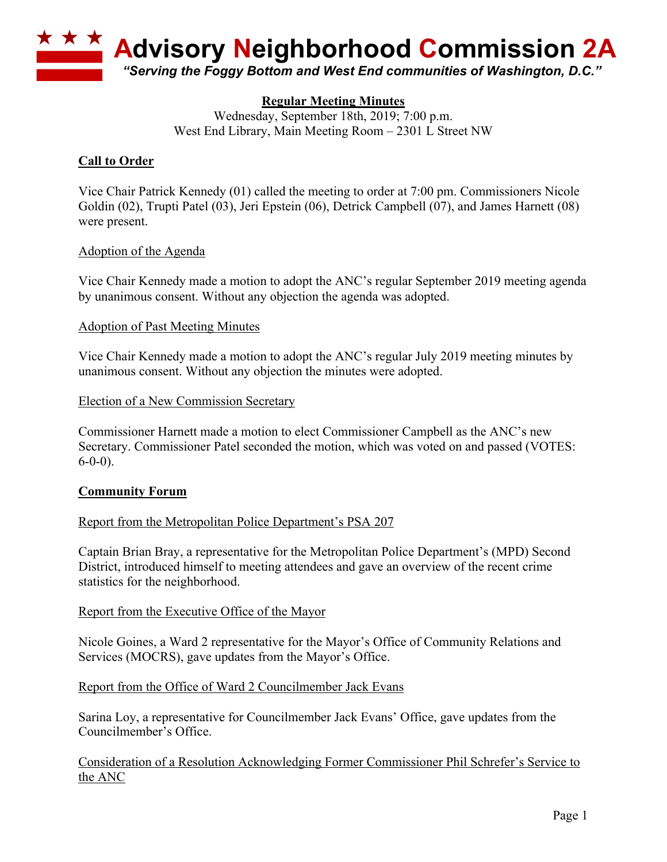

# **Regular Meeting Minutes**

Wednesday, September 18th, 2019; 7:00 p.m. West End Library, Main Meeting Room – 2301 L Street NW

### **Call to Order**

Vice Chair Patrick Kennedy (01) called the meeting to order at 7:00 pm. Commissioners Nicole Goldin (02), Trupti Patel (03), Jeri Epstein (06), Detrick Campbell (07), and James Harnett (08) were present.

#### Adoption of the Agenda

Vice Chair Kennedy made a motion to adopt the ANC's regular September 2019 meeting agenda by unanimous consent. Without any objection the agenda was adopted.

#### Adoption of Past Meeting Minutes

Vice Chair Kennedy made a motion to adopt the ANC's regular July 2019 meeting minutes by unanimous consent. Without any objection the minutes were adopted.

#### Election of a New Commission Secretary

Commissioner Harnett made a motion to elect Commissioner Campbell as the ANC's new Secretary. Commissioner Patel seconded the motion, which was voted on and passed (VOTES:  $6-0-0$ ).

### **Community Forum**

### Report from the Metropolitan Police Department's PSA 207

Captain Brian Bray, a representative for the Metropolitan Police Department's (MPD) Second District, introduced himself to meeting attendees and gave an overview of the recent crime statistics for the neighborhood.

#### Report from the Executive Office of the Mayor

Nicole Goines, a Ward 2 representative for the Mayor's Office of Community Relations and Services (MOCRS), gave updates from the Mayor's Office.

#### Report from the Office of Ward 2 Councilmember Jack Evans

Sarina Loy, a representative for Councilmember Jack Evans' Office, gave updates from the Councilmember's Office.

Consideration of a Resolution Acknowledging Former Commissioner Phil Schrefer's Service to the ANC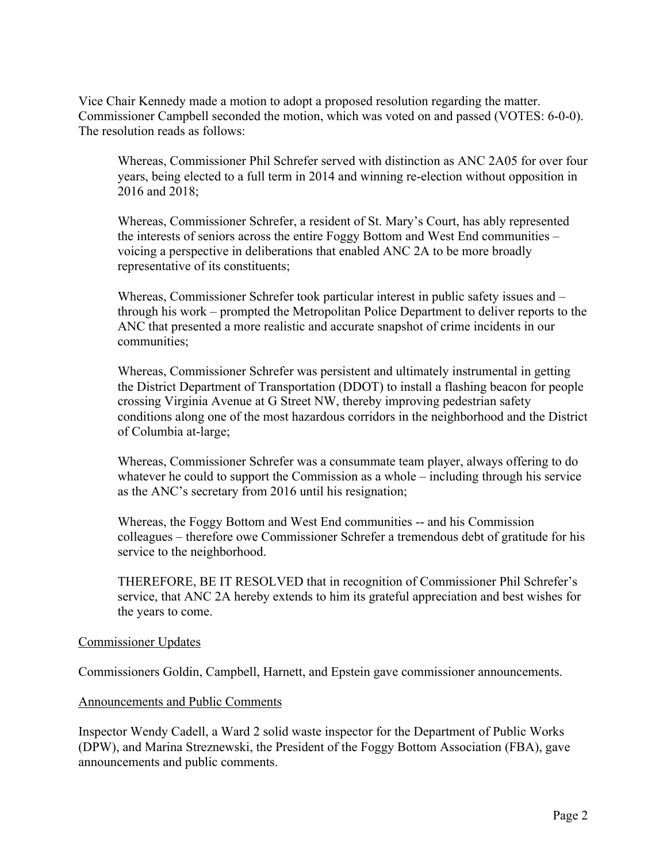Vice Chair Kennedy made a motion to adopt a proposed resolution regarding the matter. Commissioner Campbell seconded the motion, which was voted on and passed (VOTES: 6-0-0). The resolution reads as follows:

Whereas, Commissioner Phil Schrefer served with distinction as ANC 2A05 for over four years, being elected to a full term in 2014 and winning re-election without opposition in 2016 and 2018;

Whereas, Commissioner Schrefer, a resident of St. Mary's Court, has ably represented the interests of seniors across the entire Foggy Bottom and West End communities – voicing a perspective in deliberations that enabled ANC 2A to be more broadly representative of its constituents;

Whereas, Commissioner Schrefer took particular interest in public safety issues and – through his work – prompted the Metropolitan Police Department to deliver reports to the ANC that presented a more realistic and accurate snapshot of crime incidents in our communities;

Whereas, Commissioner Schrefer was persistent and ultimately instrumental in getting the District Department of Transportation (DDOT) to install a flashing beacon for people crossing Virginia Avenue at G Street NW, thereby improving pedestrian safety conditions along one of the most hazardous corridors in the neighborhood and the District of Columbia at-large;

Whereas, Commissioner Schrefer was a consummate team player, always offering to do whatever he could to support the Commission as a whole – including through his service as the ANC's secretary from 2016 until his resignation;

Whereas, the Foggy Bottom and West End communities -- and his Commission colleagues – therefore owe Commissioner Schrefer a tremendous debt of gratitude for his service to the neighborhood.

THEREFORE, BE IT RESOLVED that in recognition of Commissioner Phil Schrefer's service, that ANC 2A hereby extends to him its grateful appreciation and best wishes for the years to come.

#### Commissioner Updates

Commissioners Goldin, Campbell, Harnett, and Epstein gave commissioner announcements.

#### Announcements and Public Comments

Inspector Wendy Cadell, a Ward 2 solid waste inspector for the Department of Public Works (DPW), and Marina Streznewski, the President of the Foggy Bottom Association (FBA), gave announcements and public comments.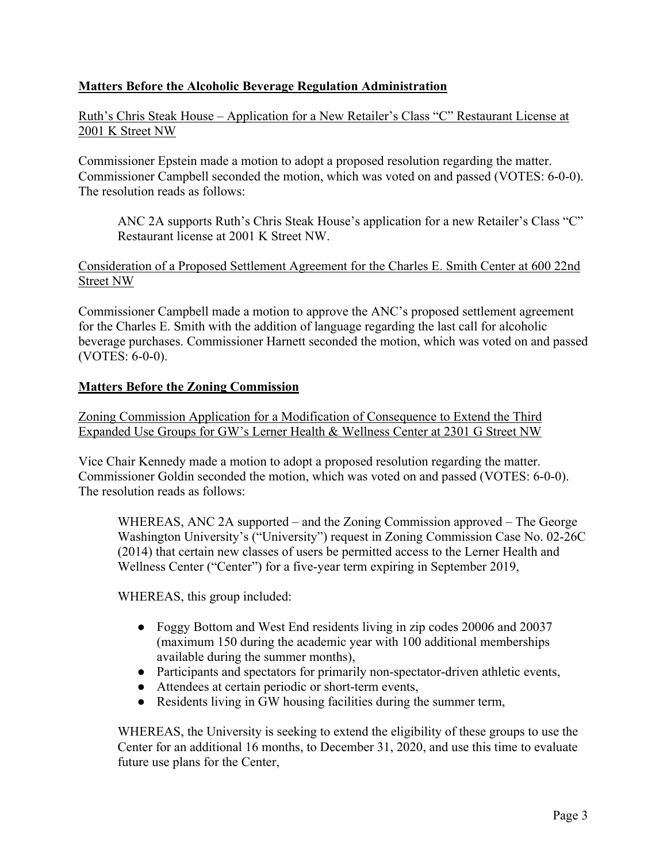# **Matters Before the Alcoholic Beverage Regulation Administration**

Ruth's Chris Steak House – Application for a New Retailer's Class "C" Restaurant License at 2001 K Street NW

Commissioner Epstein made a motion to adopt a proposed resolution regarding the matter. Commissioner Campbell seconded the motion, which was voted on and passed (VOTES: 6-0-0). The resolution reads as follows:

ANC 2A supports Ruth's Chris Steak House's application for a new Retailer's Class "C" Restaurant license at 2001 K Street NW.

### Consideration of a Proposed Settlement Agreement for the Charles E. Smith Center at 600 22nd Street NW

Commissioner Campbell made a motion to approve the ANC's proposed settlement agreement for the Charles E. Smith with the addition of language regarding the last call for alcoholic beverage purchases. Commissioner Harnett seconded the motion, which was voted on and passed (VOTES: 6-0-0).

### **Matters Before the Zoning Commission**

Zoning Commission Application for a Modification of Consequence to Extend the Third Expanded Use Groups for GW's Lerner Health & Wellness Center at 2301 G Street NW

Vice Chair Kennedy made a motion to adopt a proposed resolution regarding the matter. Commissioner Goldin seconded the motion, which was voted on and passed (VOTES: 6-0-0). The resolution reads as follows:

WHEREAS, ANC 2A supported – and the Zoning Commission approved – The George Washington University's ("University") request in Zoning Commission Case No. 02-26C (2014) that certain new classes of users be permitted access to the Lerner Health and Wellness Center ("Center") for a five-year term expiring in September 2019,

WHEREAS, this group included:

- Foggy Bottom and West End residents living in zip codes 20006 and 20037 (maximum 150 during the academic year with 100 additional memberships available during the summer months),
- Participants and spectators for primarily non-spectator-driven athletic events,
- Attendees at certain periodic or short-term events,
- Residents living in GW housing facilities during the summer term,

WHEREAS, the University is seeking to extend the eligibility of these groups to use the Center for an additional 16 months, to December 31, 2020, and use this time to evaluate future use plans for the Center,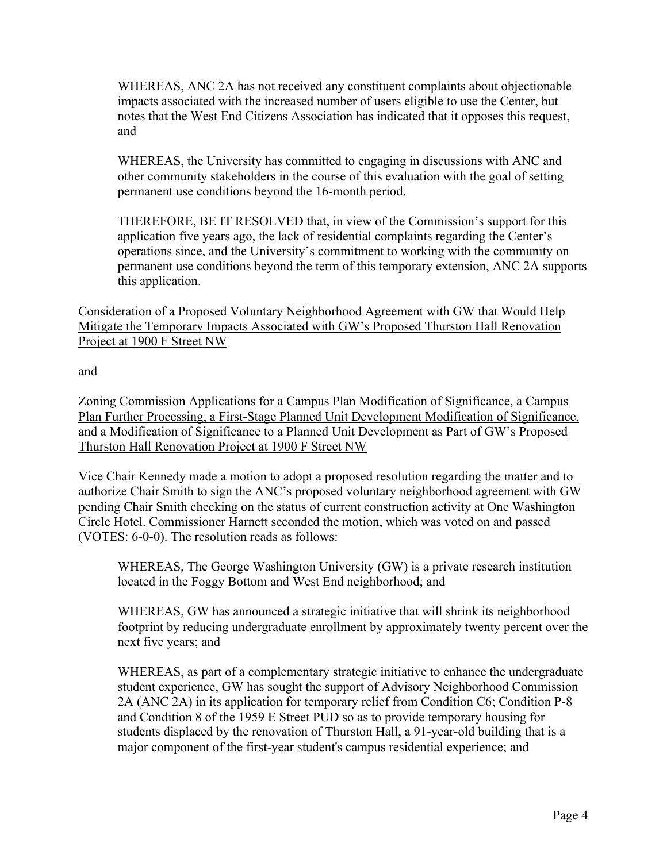WHEREAS, ANC 2A has not received any constituent complaints about objectionable impacts associated with the increased number of users eligible to use the Center, but notes that the West End Citizens Association has indicated that it opposes this request, and

WHEREAS, the University has committed to engaging in discussions with ANC and other community stakeholders in the course of this evaluation with the goal of setting permanent use conditions beyond the 16-month period.

THEREFORE, BE IT RESOLVED that, in view of the Commission's support for this application five years ago, the lack of residential complaints regarding the Center's operations since, and the University's commitment to working with the community on permanent use conditions beyond the term of this temporary extension, ANC 2A supports this application.

Consideration of a Proposed Voluntary Neighborhood Agreement with GW that Would Help Mitigate the Temporary Impacts Associated with GW's Proposed Thurston Hall Renovation Project at 1900 F Street NW

and

Zoning Commission Applications for a Campus Plan Modification of Significance, a Campus Plan Further Processing, a First-Stage Planned Unit Development Modification of Significance, and a Modification of Significance to a Planned Unit Development as Part of GW's Proposed Thurston Hall Renovation Project at 1900 F Street NW

Vice Chair Kennedy made a motion to adopt a proposed resolution regarding the matter and to authorize Chair Smith to sign the ANC's proposed voluntary neighborhood agreement with GW pending Chair Smith checking on the status of current construction activity at One Washington Circle Hotel. Commissioner Harnett seconded the motion, which was voted on and passed (VOTES: 6-0-0). The resolution reads as follows:

WHEREAS, The George Washington University (GW) is a private research institution located in the Foggy Bottom and West End neighborhood; and

WHEREAS, GW has announced a strategic initiative that will shrink its neighborhood footprint by reducing undergraduate enrollment by approximately twenty percent over the next five years; and

WHEREAS, as part of a complementary strategic initiative to enhance the undergraduate student experience, GW has sought the support of Advisory Neighborhood Commission 2A (ANC 2A) in its application for temporary relief from Condition C6; Condition P-8 and Condition 8 of the 1959 E Street PUD so as to provide temporary housing for students displaced by the renovation of Thurston Hall, a 91-year-old building that is a major component of the first-year student's campus residential experience; and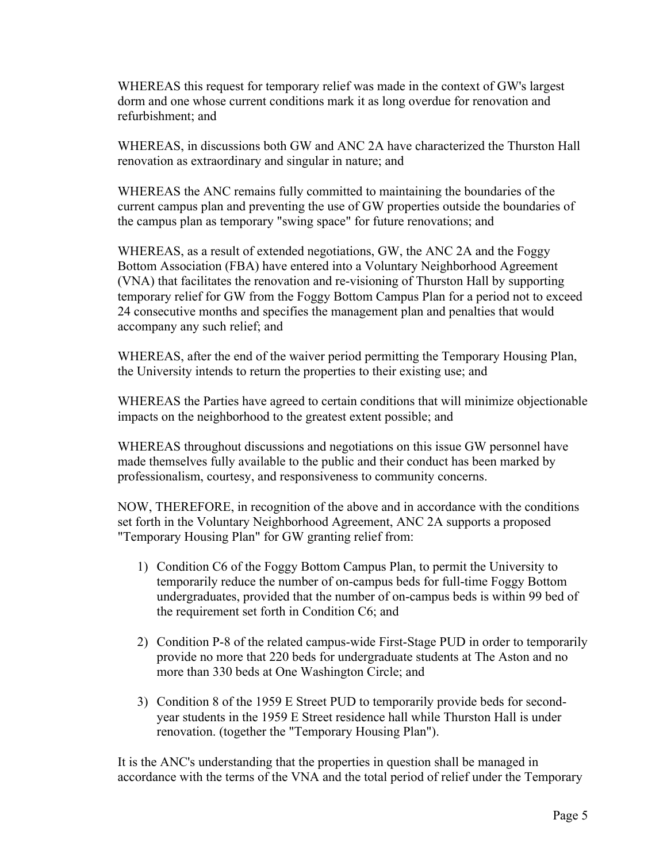WHEREAS this request for temporary relief was made in the context of GW's largest dorm and one whose current conditions mark it as long overdue for renovation and refurbishment; and

WHEREAS, in discussions both GW and ANC 2A have characterized the Thurston Hall renovation as extraordinary and singular in nature; and

WHEREAS the ANC remains fully committed to maintaining the boundaries of the current campus plan and preventing the use of GW properties outside the boundaries of the campus plan as temporary "swing space" for future renovations; and

WHEREAS, as a result of extended negotiations, GW, the ANC 2A and the Foggy Bottom Association (FBA) have entered into a Voluntary Neighborhood Agreement (VNA) that facilitates the renovation and re-visioning of Thurston Hall by supporting temporary relief for GW from the Foggy Bottom Campus Plan for a period not to exceed 24 consecutive months and specifies the management plan and penalties that would accompany any such relief; and

WHEREAS, after the end of the waiver period permitting the Temporary Housing Plan, the University intends to return the properties to their existing use; and

WHEREAS the Parties have agreed to certain conditions that will minimize objectionable impacts on the neighborhood to the greatest extent possible; and

WHEREAS throughout discussions and negotiations on this issue GW personnel have made themselves fully available to the public and their conduct has been marked by professionalism, courtesy, and responsiveness to community concerns.

NOW, THEREFORE, in recognition of the above and in accordance with the conditions set forth in the Voluntary Neighborhood Agreement, ANC 2A supports a proposed "Temporary Housing Plan" for GW granting relief from:

- 1) Condition C6 of the Foggy Bottom Campus Plan, to permit the University to temporarily reduce the number of on-campus beds for full-time Foggy Bottom undergraduates, provided that the number of on-campus beds is within 99 bed of the requirement set forth in Condition C6; and
- 2) Condition P-8 of the related campus-wide First-Stage PUD in order to temporarily provide no more that 220 beds for undergraduate students at The Aston and no more than 330 beds at One Washington Circle; and
- 3) Condition 8 of the 1959 E Street PUD to temporarily provide beds for secondyear students in the 1959 E Street residence hall while Thurston Hall is under renovation. (together the "Temporary Housing Plan").

It is the ANC's understanding that the properties in question shall be managed in accordance with the terms of the VNA and the total period of relief under the Temporary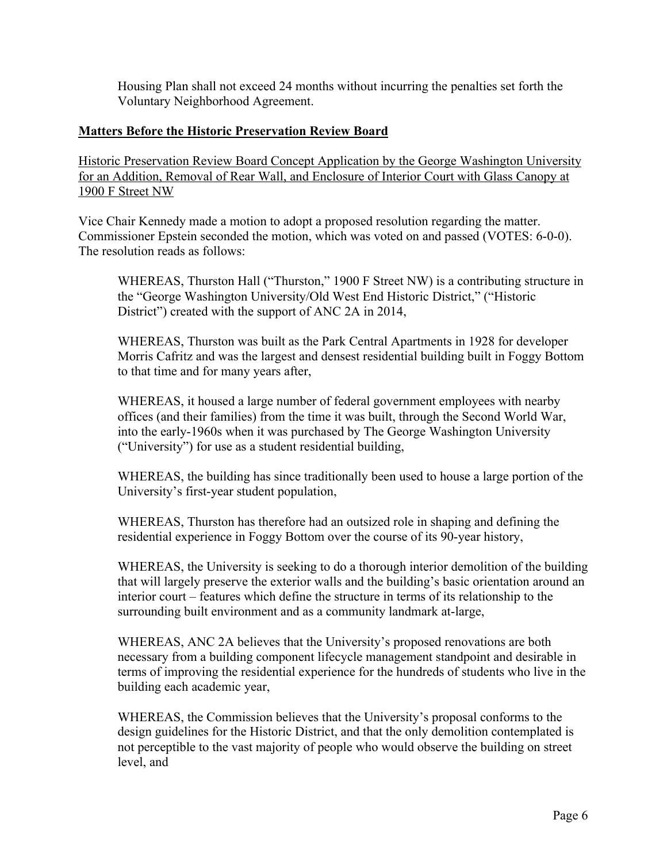Housing Plan shall not exceed 24 months without incurring the penalties set forth the Voluntary Neighborhood Agreement.

### **Matters Before the Historic Preservation Review Board**

Historic Preservation Review Board Concept Application by the George Washington University for an Addition, Removal of Rear Wall, and Enclosure of Interior Court with Glass Canopy at 1900 F Street NW

Vice Chair Kennedy made a motion to adopt a proposed resolution regarding the matter. Commissioner Epstein seconded the motion, which was voted on and passed (VOTES: 6-0-0). The resolution reads as follows:

WHEREAS, Thurston Hall ("Thurston," 1900 F Street NW) is a contributing structure in the "George Washington University/Old West End Historic District," ("Historic District") created with the support of ANC 2A in 2014,

WHEREAS, Thurston was built as the Park Central Apartments in 1928 for developer Morris Cafritz and was the largest and densest residential building built in Foggy Bottom to that time and for many years after,

WHEREAS, it housed a large number of federal government employees with nearby offices (and their families) from the time it was built, through the Second World War, into the early-1960s when it was purchased by The George Washington University ("University") for use as a student residential building,

WHEREAS, the building has since traditionally been used to house a large portion of the University's first-year student population,

WHEREAS, Thurston has therefore had an outsized role in shaping and defining the residential experience in Foggy Bottom over the course of its 90-year history,

WHEREAS, the University is seeking to do a thorough interior demolition of the building that will largely preserve the exterior walls and the building's basic orientation around an interior court – features which define the structure in terms of its relationship to the surrounding built environment and as a community landmark at-large,

WHEREAS, ANC 2A believes that the University's proposed renovations are both necessary from a building component lifecycle management standpoint and desirable in terms of improving the residential experience for the hundreds of students who live in the building each academic year,

WHEREAS, the Commission believes that the University's proposal conforms to the design guidelines for the Historic District, and that the only demolition contemplated is not perceptible to the vast majority of people who would observe the building on street level, and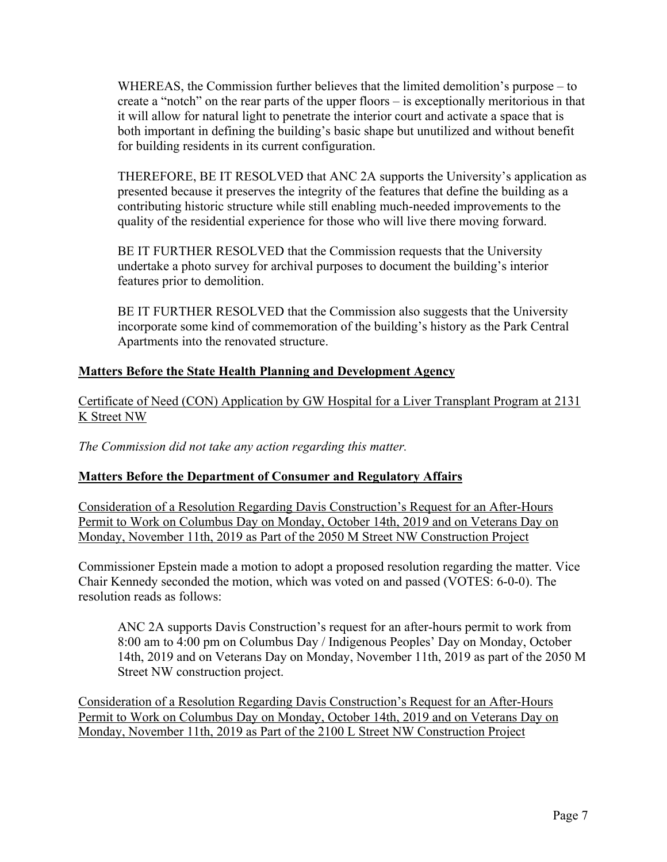WHEREAS, the Commission further believes that the limited demolition's purpose – to create a "notch" on the rear parts of the upper floors – is exceptionally meritorious in that it will allow for natural light to penetrate the interior court and activate a space that is both important in defining the building's basic shape but unutilized and without benefit for building residents in its current configuration.

THEREFORE, BE IT RESOLVED that ANC 2A supports the University's application as presented because it preserves the integrity of the features that define the building as a contributing historic structure while still enabling much-needed improvements to the quality of the residential experience for those who will live there moving forward.

BE IT FURTHER RESOLVED that the Commission requests that the University undertake a photo survey for archival purposes to document the building's interior features prior to demolition.

BE IT FURTHER RESOLVED that the Commission also suggests that the University incorporate some kind of commemoration of the building's history as the Park Central Apartments into the renovated structure.

# **Matters Before the State Health Planning and Development Agency**

Certificate of Need (CON) Application by GW Hospital for a Liver Transplant Program at 2131 K Street NW

*The Commission did not take any action regarding this matter.*

# **Matters Before the Department of Consumer and Regulatory Affairs**

Consideration of a Resolution Regarding Davis Construction's Request for an After-Hours Permit to Work on Columbus Day on Monday, October 14th, 2019 and on Veterans Day on Monday, November 11th, 2019 as Part of the 2050 M Street NW Construction Project

Commissioner Epstein made a motion to adopt a proposed resolution regarding the matter. Vice Chair Kennedy seconded the motion, which was voted on and passed (VOTES: 6-0-0). The resolution reads as follows:

ANC 2A supports Davis Construction's request for an after-hours permit to work from 8:00 am to 4:00 pm on Columbus Day / Indigenous Peoples' Day on Monday, October 14th, 2019 and on Veterans Day on Monday, November 11th, 2019 as part of the 2050 M Street NW construction project.

Consideration of a Resolution Regarding Davis Construction's Request for an After-Hours Permit to Work on Columbus Day on Monday, October 14th, 2019 and on Veterans Day on Monday, November 11th, 2019 as Part of the 2100 L Street NW Construction Project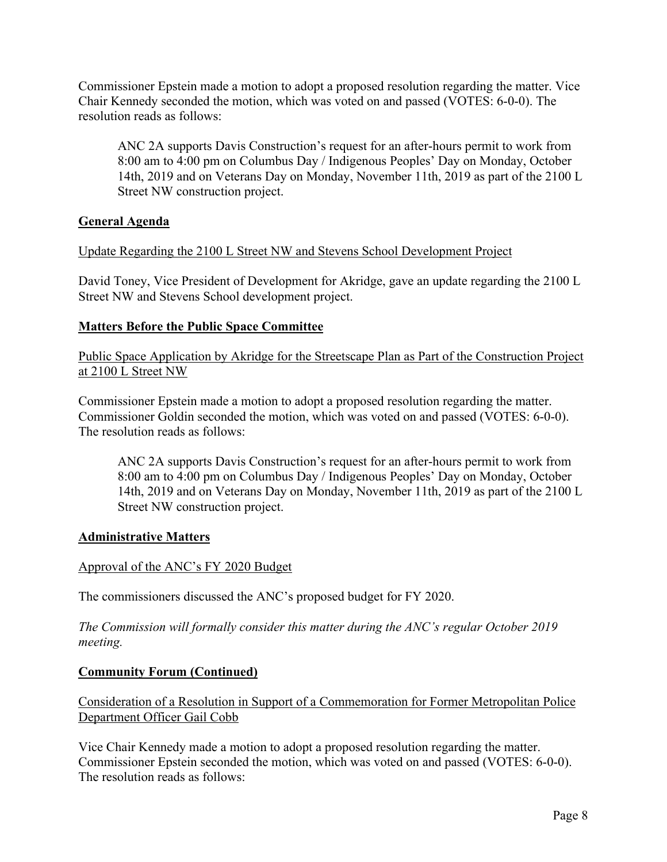Commissioner Epstein made a motion to adopt a proposed resolution regarding the matter. Vice Chair Kennedy seconded the motion, which was voted on and passed (VOTES: 6-0-0). The resolution reads as follows:

ANC 2A supports Davis Construction's request for an after-hours permit to work from 8:00 am to 4:00 pm on Columbus Day / Indigenous Peoples' Day on Monday, October 14th, 2019 and on Veterans Day on Monday, November 11th, 2019 as part of the 2100 L Street NW construction project.

# **General Agenda**

# Update Regarding the 2100 L Street NW and Stevens School Development Project

David Toney, Vice President of Development for Akridge, gave an update regarding the 2100 L Street NW and Stevens School development project.

### **Matters Before the Public Space Committee**

Public Space Application by Akridge for the Streetscape Plan as Part of the Construction Project at 2100 L Street NW

Commissioner Epstein made a motion to adopt a proposed resolution regarding the matter. Commissioner Goldin seconded the motion, which was voted on and passed (VOTES: 6-0-0). The resolution reads as follows:

ANC 2A supports Davis Construction's request for an after-hours permit to work from 8:00 am to 4:00 pm on Columbus Day / Indigenous Peoples' Day on Monday, October 14th, 2019 and on Veterans Day on Monday, November 11th, 2019 as part of the 2100 L Street NW construction project.

### **Administrative Matters**

### Approval of the ANC's FY 2020 Budget

The commissioners discussed the ANC's proposed budget for FY 2020.

*The Commission will formally consider this matter during the ANC's regular October 2019 meeting.*

### **Community Forum (Continued)**

Consideration of a Resolution in Support of a Commemoration for Former Metropolitan Police Department Officer Gail Cobb

Vice Chair Kennedy made a motion to adopt a proposed resolution regarding the matter. Commissioner Epstein seconded the motion, which was voted on and passed (VOTES: 6-0-0). The resolution reads as follows: